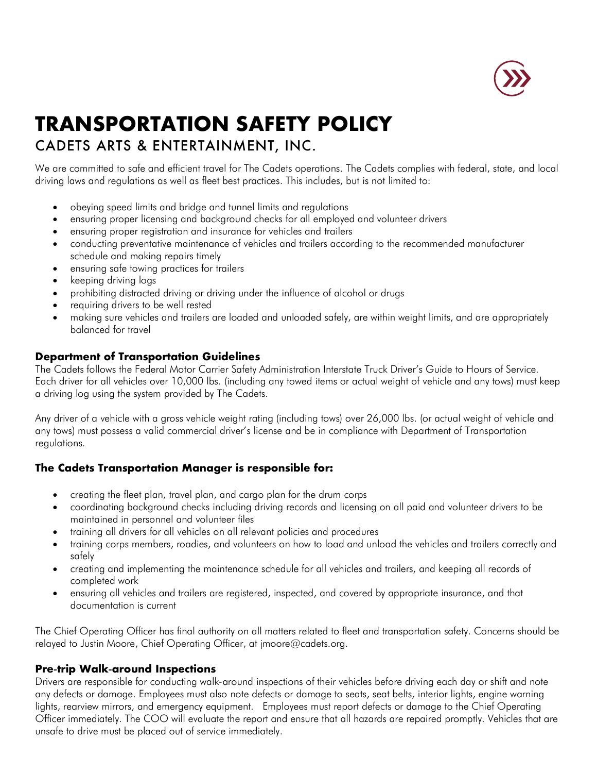

# **TRANSPORTATION SAFETY POLICY**

# CADETS ARTS & ENTERTAINMENT, INC.

We are committed to safe and efficient travel for The Cadets operations. The Cadets complies with federal, state, and local driving laws and regulations as well as fleet best practices. This includes, but is not limited to:

- obeying speed limits and bridge and tunnel limits and regulations
- ensuring proper licensing and background checks for all employed and volunteer drivers
- ensuring proper registration and insurance for vehicles and trailers
- conducting preventative maintenance of vehicles and trailers according to the recommended manufacturer schedule and making repairs timely
- ensuring safe towing practices for trailers
- keeping driving logs
- prohibiting distracted driving or driving under the influence of alcohol or drugs
- requiring drivers to be well rested
- making sure vehicles and trailers are loaded and unloaded safely, are within weight limits, and are appropriately balanced for travel

#### **Department of Transportation Guidelines**

The Cadets follows the Federal Motor Carrier Safety Administration Interstate Truck Driver's Guide to Hours of Service. Each driver for all vehicles over 10,000 lbs. (including any towed items or actual weight of vehicle and any tows) must keep a driving log using the system provided by The Cadets.

Any driver of a vehicle with a gross vehicle weight rating (including tows) over 26,000 lbs. (or actual weight of vehicle and any tows) must possess a valid commercial driver's license and be in compliance with Department of Transportation regulations.

## **The Cadets Transportation Manager is responsible for:**

- creating the fleet plan, travel plan, and cargo plan for the drum corps
- coordinating background checks including driving records and licensing on all paid and volunteer drivers to be maintained in personnel and volunteer files
- training all drivers for all vehicles on all relevant policies and procedures
- training corps members, roadies, and volunteers on how to load and unload the vehicles and trailers correctly and safely
- creating and implementing the maintenance schedule for all vehicles and trailers, and keeping all records of completed work
- ensuring all vehicles and trailers are registered, inspected, and covered by appropriate insurance, and that documentation is current

The Chief Operating Officer has final authority on all matters related to fleet and transportation safety. Concerns should be relayed to Justin Moore, Chief Operating Officer, at jmoore@cadets.org.

## **Pre**-**trip Walk**-**around Inspections**

Drivers are responsible for conducting walk-around inspections of their vehicles before driving each day or shift and note any defects or damage. Employees must also note defects or damage to seats, seat belts, interior lights, engine warning lights, rearview mirrors, and emergency equipment. Employees must report defects or damage to the Chief Operating Officer immediately. The COO will evaluate the report and ensure that all hazards are repaired promptly. Vehicles that are unsafe to drive must be placed out of service immediately.